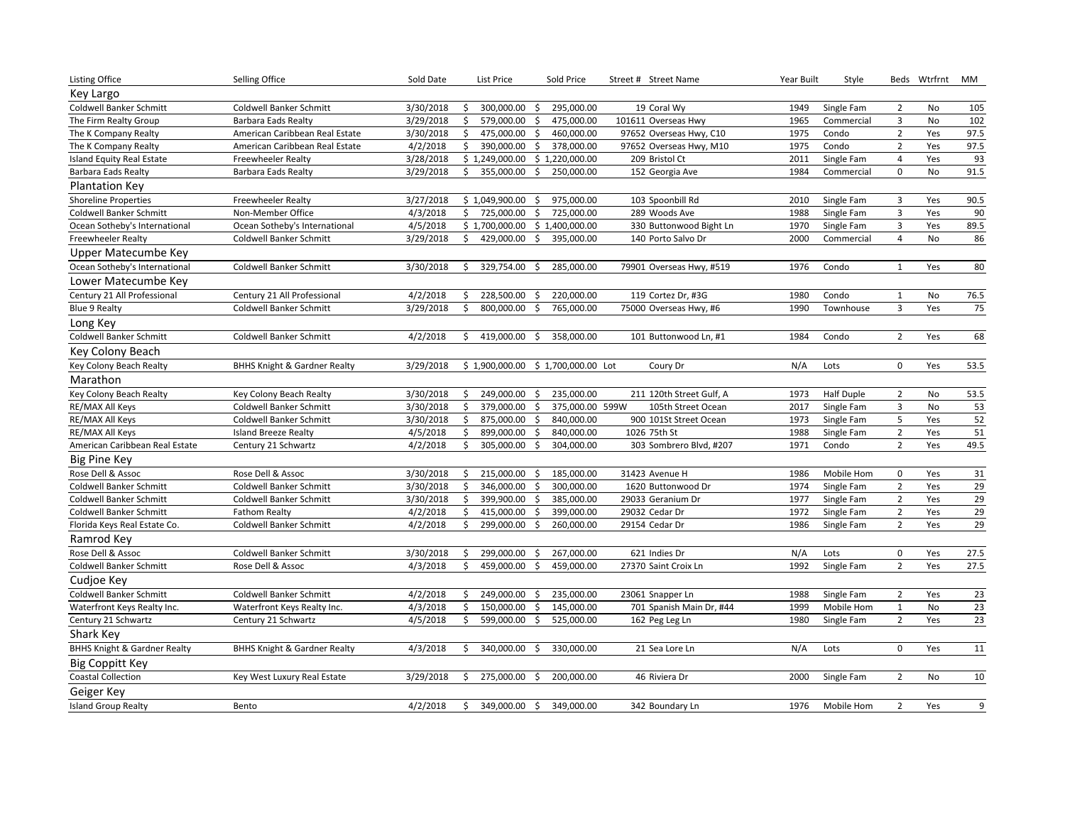| <b>Listing Office</b>                   | Selling Office                          | Sold Date | List Price          | Sold Price                             | Street # Street Name     | Year Built | Style             |                         | Beds Wtrfrnt | MM   |
|-----------------------------------------|-----------------------------------------|-----------|---------------------|----------------------------------------|--------------------------|------------|-------------------|-------------------------|--------------|------|
| Key Largo                               |                                         |           |                     |                                        |                          |            |                   |                         |              |      |
| <b>Coldwell Banker Schmitt</b>          | Coldwell Banker Schmitt                 | 3/30/2018 | 300,000.00<br>\$    | 295,000.00<br>\$                       | 19 Coral Wy              | 1949       | Single Fam        | $\overline{2}$          | No           | 105  |
| The Firm Realty Group                   | <b>Barbara Eads Realty</b>              | 3/29/2018 | \$<br>579,000.00    | \$<br>475,000.00                       | 101611 Overseas Hwy      | 1965       | Commercial        | $\overline{\mathbf{3}}$ | No           | 102  |
| The K Company Realty                    | American Caribbean Real Estate          | 3/30/2018 | 475,000.00<br>\$    | \$<br>460,000.00                       | 97652 Overseas Hwy, C10  | 1975       | Condo             | 2                       | Yes          | 97.5 |
| The K Company Realty                    | American Caribbean Real Estate          | 4/2/2018  | \$<br>390,000.00    | \$<br>378,000.00                       | 97652 Overseas Hwy, M10  | 1975       | Condo             | $\overline{2}$          | Yes          | 97.5 |
| <b>Island Equity Real Estate</b>        | <b>Freewheeler Realty</b>               | 3/28/2018 | \$1,249,000.00      | \$1,220,000.00                         | 209 Bristol Ct           | 2011       | Single Fam        | $\overline{4}$          | Yes          | 93   |
| <b>Barbara Eads Realty</b>              | <b>Barbara Eads Realty</b>              | 3/29/2018 | 355,000.00<br>\$    | 250,000.00<br>\$                       | 152 Georgia Ave          | 1984       | Commercial        | $\mathsf 0$             | No           | 91.5 |
| <b>Plantation Key</b>                   |                                         |           |                     |                                        |                          |            |                   |                         |              |      |
| <b>Shoreline Properties</b>             | <b>Freewheeler Realty</b>               | 3/27/2018 | \$1,049,900.00      | 975,000.00<br>\$                       | 103 Spoonbill Rd         | 2010       | Single Fam        | 3                       | Yes          | 90.5 |
| <b>Coldwell Banker Schmitt</b>          | Non-Member Office                       | 4/3/2018  | \$<br>725,000.00    | \$<br>725,000.00                       | 289 Woods Ave            | 1988       | Single Fam        | 3                       | Yes          | 90   |
| Ocean Sotheby's International           | Ocean Sotheby's International           | 4/5/2018  | \$1,700,000.00      | \$1,400,000.00                         | 330 Buttonwood Bight Ln  | 1970       | Single Fam        | 3                       | Yes          | 89.5 |
| Freewheeler Realty                      | Coldwell Banker Schmitt                 | 3/29/2018 | \$<br>429,000.00    | \$<br>395,000.00                       | 140 Porto Salvo Dr       | 2000       | Commercial        | $\overline{4}$          | No           | 86   |
| Upper Matecumbe Key                     |                                         |           |                     |                                        |                          |            |                   |                         |              |      |
| Ocean Sotheby's International           | Coldwell Banker Schmitt                 | 3/30/2018 | 329,754.00<br>\$    | \$<br>285,000.00                       | 79901 Overseas Hwy, #519 | 1976       | Condo             | $\mathbf{1}$            | Yes          | 80   |
| Lower Matecumbe Kev                     |                                         |           |                     |                                        |                          |            |                   |                         |              |      |
| Century 21 All Professional             | Century 21 All Professional             | 4/2/2018  | 228,500.00<br>\$    | 220,000.00<br>\$                       | 119 Cortez Dr, #3G       | 1980       | Condo             | $\mathbf{1}$            | No           | 76.5 |
| <b>Blue 9 Realty</b>                    | Coldwell Banker Schmitt                 | 3/29/2018 | 800,000.00<br>Ś.    | 765,000.00<br>\$                       | 75000 Overseas Hwy, #6   | 1990       | Townhouse         | 3                       | Yes          | 75   |
| Long Key                                |                                         |           |                     |                                        |                          |            |                   |                         |              |      |
| <b>Coldwell Banker Schmitt</b>          | <b>Coldwell Banker Schmitt</b>          | 4/2/2018  | 419,000.00<br>Ŝ.    | 358,000.00<br>Ŝ.                       | 101 Buttonwood Ln, #1    | 1984       | Condo             | 2                       | Yes          | 68   |
| Key Colony Beach                        |                                         |           |                     |                                        |                          |            |                   |                         |              |      |
| Key Colony Beach Realty                 | <b>BHHS Knight &amp; Gardner Realty</b> | 3/29/2018 |                     | \$1,900,000.00 \$1,700,000.00 Lot      | Coury Dr                 | N/A        | Lots              | $\mathbf 0$             | Yes          | 53.5 |
| Marathon                                |                                         |           |                     |                                        |                          |            |                   |                         |              |      |
| Key Colony Beach Realty                 | Key Colony Beach Realty                 | 3/30/2018 | \$<br>249,000.00    | 235,000.00<br>\$                       | 211 120th Street Gulf, A | 1973       | <b>Half Duple</b> | $\overline{2}$          | No           | 53.5 |
| RE/MAX All Keys                         | Coldwell Banker Schmitt                 | 3/30/2018 | \$<br>379,000.00    | $\ddot{\mathsf{S}}$<br>375,000.00 599W | 105th Street Ocean       | 2017       | Single Fam        | 3                       | No           | 53   |
| RE/MAX All Keys                         | Coldwell Banker Schmitt                 | 3/30/2018 | 875,000.00<br>\$    | 840,000.00<br>\$                       | 900 101St Street Ocean   | 1973       | Single Fam        | 5                       | Yes          | 52   |
| RE/MAX All Keys                         | <b>Island Breeze Realty</b>             | 4/5/2018  | \$<br>899,000.00    | \$<br>840,000.00                       | 1026 75th St             | 1988       | Single Fam        | $\overline{2}$          | Yes          | 51   |
| American Caribbean Real Estate          | Century 21 Schwartz                     | 4/2/2018  | 305,000.00<br>Ŝ.    | 304,000.00<br>\$                       | 303 Sombrero Blvd, #207  | 1971       | Condo             | $\overline{2}$          | Yes          | 49.5 |
| Big Pine Key                            |                                         |           |                     |                                        |                          |            |                   |                         |              |      |
| Rose Dell & Assoc                       | Rose Dell & Assoc                       | 3/30/2018 | \$<br>215,000.00    | 185,000.00<br>\$                       | 31423 Avenue H           | 1986       | Mobile Hom        | $\mathsf 0$             | Yes          | 31   |
| <b>Coldwell Banker Schmitt</b>          | <b>Coldwell Banker Schmitt</b>          | 3/30/2018 | Ŝ.<br>346,000.00    | Ŝ.<br>300,000.00                       | 1620 Buttonwood Dr       | 1974       | Single Fam        | $\overline{2}$          | Yes          | 29   |
| <b>Coldwell Banker Schmitt</b>          | Coldwell Banker Schmitt                 | 3/30/2018 | 399,900.00<br>\$    | 385,000.00<br>\$                       | 29033 Geranium Dr        | 1977       | Single Fam        | $\overline{2}$          | Yes          | 29   |
| <b>Coldwell Banker Schmitt</b>          | <b>Fathom Realty</b>                    | 4/2/2018  | \$<br>415,000.00    | 399,000.00<br>Ś.                       | 29032 Cedar Dr           | 1972       | Single Fam        | $\overline{2}$          | Yes          | 29   |
| Florida Keys Real Estate Co.            | Coldwell Banker Schmitt                 | 4/2/2018  | \$<br>299,000.00    | Ŝ.<br>260,000.00                       | 29154 Cedar Dr           | 1986       | Single Fam        | 2                       | Yes          | 29   |
| Ramrod Key                              |                                         |           |                     |                                        |                          |            |                   |                         |              |      |
| Rose Dell & Assoc                       | Coldwell Banker Schmitt                 | 3/30/2018 | 299,000.00<br>\$    | \$<br>267,000.00                       | 621 Indies Dr            | N/A        | Lots              | 0                       | Yes          | 27.5 |
| <b>Coldwell Banker Schmitt</b>          | Rose Dell & Assoc                       | 4/3/2018  | \$<br>459,000.00    | \$<br>459,000.00                       | 27370 Saint Croix Ln     | 1992       | Single Fam        | $\overline{2}$          | Yes          | 27.5 |
| Cudjoe Key                              |                                         |           |                     |                                        |                          |            |                   |                         |              |      |
| <b>Coldwell Banker Schmitt</b>          | Coldwell Banker Schmitt                 | 4/2/2018  | 249,000.00<br>\$    | \$<br>235,000.00                       | 23061 Snapper Ln         | 1988       | Single Fam        | $\overline{2}$          | Yes          | 23   |
| Waterfront Keys Realty Inc.             | Waterfront Keys Realty Inc.             | 4/3/2018  | 150,000.00<br>\$    | \$<br>145,000.00                       | 701 Spanish Main Dr, #44 | 1999       | Mobile Hom        | $\mathbf{1}$            | No           | 23   |
| Century 21 Schwartz                     | Century 21 Schwartz                     | 4/5/2018  | \$<br>599,000.00    | \$<br>525,000.00                       | 162 Peg Leg Ln           | 1980       | Single Fam        | $\overline{2}$          | Yes          | 23   |
| Shark Key                               |                                         |           |                     |                                        |                          |            |                   |                         |              |      |
| <b>BHHS Knight &amp; Gardner Realty</b> | <b>BHHS Knight &amp; Gardner Realty</b> | 4/3/2018  | 340,000.00<br>\$    | 330,000.00<br>-\$                      | 21 Sea Lore Ln           | N/A        | Lots              | $\mathbf 0$             | Yes          | 11   |
| Big Coppitt Key                         |                                         |           |                     |                                        |                          |            |                   |                         |              |      |
| <b>Coastal Collection</b>               | Key West Luxury Real Estate             | 3/29/2018 | 275,000.00<br>\$    | 200,000.00<br>\$                       | 46 Riviera Dr            | 2000       | Single Fam        | 2                       | No           | 10   |
| Geiger Key                              |                                         |           |                     |                                        |                          |            |                   |                         |              |      |
| <b>Island Group Realty</b>              | Bento                                   | 4/2/2018  | \$<br>349,000.00 \$ | 349,000.00                             | 342 Boundary Ln          | 1976       | Mobile Hom        | $\overline{2}$          | Yes          | 9    |
|                                         |                                         |           |                     |                                        |                          |            |                   |                         |              |      |